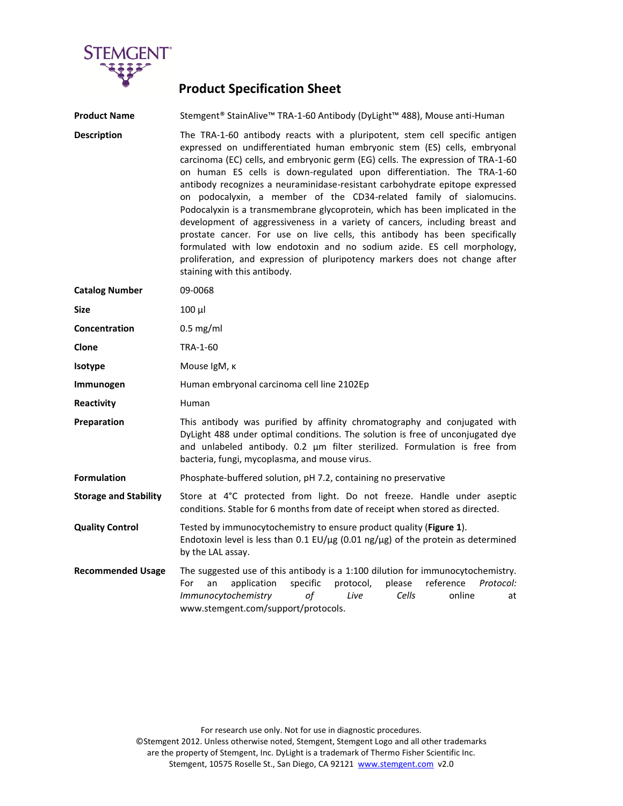

## **Product Specification Sheet**

**Product Name** Stemgent® StainAlive™ TRA-1-60 Antibody (DyLight™ 488), Mouse anti-Human

**Description** The TRA-1-60 antibody reacts with a pluripotent, stem cell specific antigen expressed on undifferentiated human embryonic stem (ES) cells, embryonal carcinoma (EC) cells, and embryonic germ (EG) cells. The expression of TRA-1-60 on human ES cells is down-regulated upon differentiation. The TRA-1-60 antibody recognizes a neuraminidase-resistant carbohydrate epitope expressed on podocalyxin, a member of the CD34-related family of sialomucins. Podocalyxin is a transmembrane glycoprotein, which has been implicated in the development of aggressiveness in a variety of cancers, including breast and prostate cancer. For use on live cells, this antibody has been specifically formulated with low endotoxin and no sodium azide. ES cell morphology, proliferation, and expression of pluripotency markers does not change after staining with this antibody.

| <b>Catalog Number</b>        | 09-0068                                                                                                                                                                                                                                                                                    |
|------------------------------|--------------------------------------------------------------------------------------------------------------------------------------------------------------------------------------------------------------------------------------------------------------------------------------------|
| <b>Size</b>                  | $100 \mu$                                                                                                                                                                                                                                                                                  |
| Concentration                | $0.5$ mg/ml                                                                                                                                                                                                                                                                                |
| Clone                        | TRA-1-60                                                                                                                                                                                                                                                                                   |
| <b>Isotype</b>               | Mouse IgM, к                                                                                                                                                                                                                                                                               |
| Immunogen                    | Human embryonal carcinoma cell line 2102Ep                                                                                                                                                                                                                                                 |
| Reactivity                   | Human                                                                                                                                                                                                                                                                                      |
| Preparation                  | This antibody was purified by affinity chromatography and conjugated with<br>DyLight 488 under optimal conditions. The solution is free of unconjugated dye<br>and unlabeled antibody. 0.2 µm filter sterilized. Formulation is free from<br>bacteria, fungi, mycoplasma, and mouse virus. |
| <b>Formulation</b>           | Phosphate-buffered solution, pH 7.2, containing no preservative                                                                                                                                                                                                                            |
| <b>Storage and Stability</b> | Store at 4°C protected from light. Do not freeze. Handle under aseptic<br>conditions. Stable for 6 months from date of receipt when stored as directed.                                                                                                                                    |
| <b>Quality Control</b>       | Tested by immunocytochemistry to ensure product quality (Figure 1).<br>Endotoxin level is less than 0.1 EU/ $\mu$ g (0.01 ng/ $\mu$ g) of the protein as determined<br>by the LAL assay.                                                                                                   |
| <b>Recommended Usage</b>     | The suggested use of this antibody is a 1:100 dilution for immunocytochemistry.<br>specific<br>reference<br>application<br>protocol,<br>please<br>For<br>Protocol:<br>an<br>Immunocytochemistry<br>of<br>Cells<br>online<br>Live<br>at<br>www.stemgent.com/support/protocols.              |